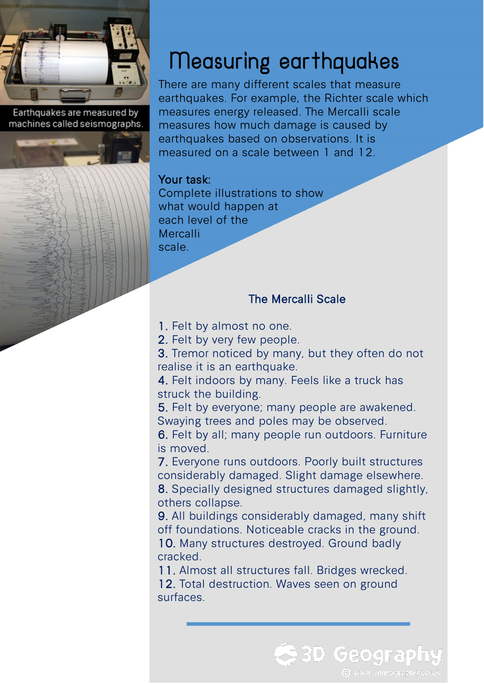

Earthquakes are measured by machines called seismographs.

## Measuring earthquakes

There are many different scales that measure earthquakes. For example, the Richter scale which measures energy released. The Mercalli scale measures how much damage is caused by earthquakes based on observations. It is measured on a scale between 1 and 12.

## Your task:

Complete illustrations to show what would happen at each level of the Mercalli scale.

## The Mercalli Scale

1. Felt by almost no one.

2. Felt by very few people.

3. Tremor noticed by many, but they often do not realise it is an earthquake.

4. Felt indoors by many. Feels like a truck has struck the building.

5. Felt by everyone; many people are awakened. Swaying trees and poles may be observed.

6. Felt by all; many people run outdoors. Furniture is moved.

7. Everyone runs outdoors. Poorly built structures considerably damaged. Slight damage elsewhere. 8. Specially designed structures damaged slightly, others collapse.

9. All buildings considerably damaged, many shift off foundations. Noticeable cracks in the ground. 10. Many structures destroyed. Ground badly cracked.

**3D Geograp** 

C www.3dgeography.co.uk

11. Almost all structures fall. Bridges wrecked.

12. Total destruction. Waves seen on ground surfaces.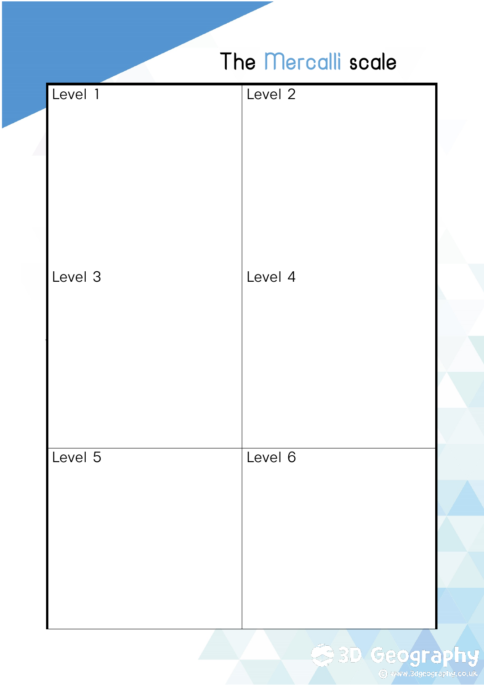## The Mercalli scale

| Level 1 | Level 2 |
|---------|---------|
| Level 3 | Level 4 |
| Level 5 | Level 6 |

**BD Geography**